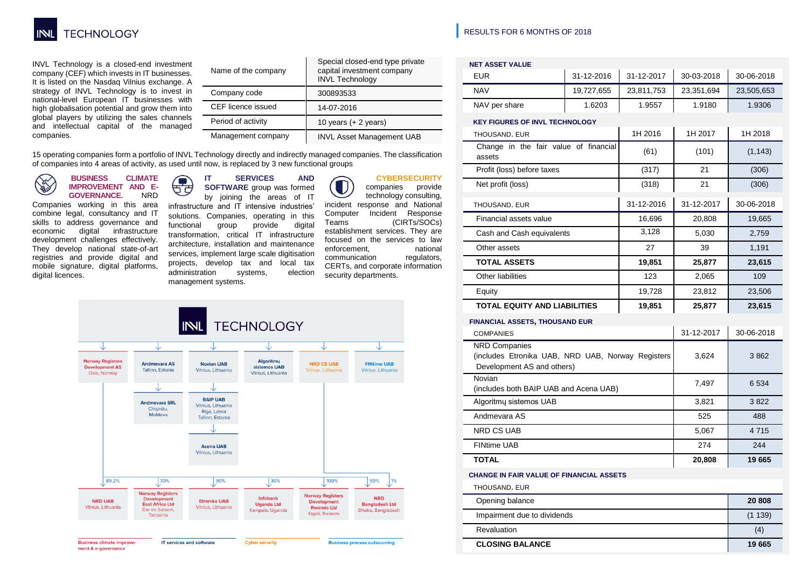

INVL Technology is a closed-end investment company (CEF) which invests in IT businesses. It is listed on the Nasdaq Vilnius exchange. A strategy of INVL Technology is to invest in national-level European IT businesses with high globalisation potential and grow them into global players by utilizing the sales channels and intellectual capital of the managed companies.

| Name of the company | Special closed-end type private<br>capital investment company<br><b>INVL Technology</b> |  |  |  |  |  |  |
|---------------------|-----------------------------------------------------------------------------------------|--|--|--|--|--|--|
| Company code        | 300893533                                                                               |  |  |  |  |  |  |
| CEF licence issued  | 14-07-2016                                                                              |  |  |  |  |  |  |
| Period of activity  | 10 years $(+ 2$ years)                                                                  |  |  |  |  |  |  |
| Management company  | <b>INVL Asset Management UAB</b>                                                        |  |  |  |  |  |  |

15 operating companies form a portfolio of INVL Technology directly and indirectly managed companies. The classification of companies into 4 areas of activity, as used until now, is replaced by 3 new functional groups

**BUSINESS CLIMATE Contract IMPROVEMENT AND E-GOVERNANCE.** 

Companies working in this area combine legal, consultancy and IT skills to address governance and<br>economic digital infrastructure digital infrastructure development challenges effectively. They develop national state-of-art registries and provide digital and mobile signature, digital platforms, digital licences.

## **IT SERVICES AND**   $\sqrt{2}$

management systems.

ਬੱਚ **SOFTWARE** group was formed by joining the areas of IT infrastructure and IT intensive industries' solutions. Companies, operating in this functional group provide digital transformation, critical IT infrastructure architecture, installation and maintenance services, implement large scale digitisation projects, develop tax and local tax administration systems, election

#### **CYBERSECURITY**

companies provide technology consulting, incident response and National Computer Incident Response Teams (CIRTs/SOCs) establishment services. They are focused on the services to law enforcement, national<br>communication regulators, communication CERTs, and corporate information security departments.



### **|** RESULTS FOR 6 MONTHS OF 2018

| <b>NET ASSET VALUE</b>                                                                                  |            |            |            |            |  |  |  |  |  |
|---------------------------------------------------------------------------------------------------------|------------|------------|------------|------------|--|--|--|--|--|
| <b>EUR</b>                                                                                              | 31-12-2016 | 31-12-2017 | 30-03-2018 | 30-06-2018 |  |  |  |  |  |
| <b>NAV</b>                                                                                              | 19,727,655 | 23,811,753 | 23,351,694 | 23,505,653 |  |  |  |  |  |
| NAV per share                                                                                           | 1.6203     | 1.9557     | 1.9180     | 1.9306     |  |  |  |  |  |
| <b>KEY FIGURES OF INVL TECHNOLOGY</b>                                                                   |            |            |            |            |  |  |  |  |  |
| THOUSAND, EUR                                                                                           |            | 1H 2016    | 1H 2017    | 1H 2018    |  |  |  |  |  |
| Change in the fair value of financial<br>assets                                                         |            | (61)       | (101)      | (1, 143)   |  |  |  |  |  |
| Profit (loss) before taxes                                                                              |            | (317)      | 21         | (306)      |  |  |  |  |  |
| Net profit (loss)                                                                                       |            | (318)      | 21         | (306)      |  |  |  |  |  |
| THOUSAND, EUR                                                                                           |            | 31-12-2016 | 31-12-2017 | 30-06-2018 |  |  |  |  |  |
| Financial assets value                                                                                  |            | 16,696     | 20,808     | 19,665     |  |  |  |  |  |
| Cash and Cash equivalents                                                                               |            | 3,128      | 5,030      | 2,759      |  |  |  |  |  |
| Other assets                                                                                            |            | 27         | 39         | 1,191      |  |  |  |  |  |
| <b>TOTAL ASSETS</b>                                                                                     |            | 19,851     | 25,877     | 23,615     |  |  |  |  |  |
| Other liabilities                                                                                       |            | 123        | 2,065      | 109        |  |  |  |  |  |
| Equity                                                                                                  |            | 19,728     | 23,812     | 23,506     |  |  |  |  |  |
| <b>TOTAL EQUITY AND LIABILITIES</b>                                                                     |            | 19,851     | 25,877     | 23,615     |  |  |  |  |  |
| <b>FINANCIAL ASSETS, THOUSAND EUR</b>                                                                   |            |            |            |            |  |  |  |  |  |
| <b>COMPANIES</b>                                                                                        | 31-12-2017 | 30-06-2018 |            |            |  |  |  |  |  |
| <b>NRD Companies</b><br>(includes Etronika UAB, NRD UAB, Norway Registers<br>Development AS and others) | 3,624      | 3862       |            |            |  |  |  |  |  |
| Novian<br>(includes both BAIP UAB and Acena UAB)                                                        | 6534       |            |            |            |  |  |  |  |  |
| Algoritmų sistemos UAB                                                                                  |            | 3.821      | 3822       |            |  |  |  |  |  |
| Andmevara AS                                                                                            | 525        | 488        |            |            |  |  |  |  |  |
| NRD CS UAB                                                                                              | 5,067      | 4715       |            |            |  |  |  |  |  |
| <b>FINtime UAB</b>                                                                                      | 274        | 244        |            |            |  |  |  |  |  |
| <b>TOTAL</b>                                                                                            | 19665      |            |            |            |  |  |  |  |  |
| <b>CHANGE IN FAIR VALUE OF FINANCIAL ASSETS</b>                                                         |            |            |            |            |  |  |  |  |  |
| THOUSAND. EUR                                                                                           |            |            |            |            |  |  |  |  |  |
| Opening balance                                                                                         | 20 808     |            |            |            |  |  |  |  |  |
| Impairment due to dividends                                                                             | (1139)     |            |            |            |  |  |  |  |  |
| Revaluation                                                                                             | (4)        |            |            |            |  |  |  |  |  |
| <b>CLOSING BALANCE</b>                                                                                  | 19665      |            |            |            |  |  |  |  |  |